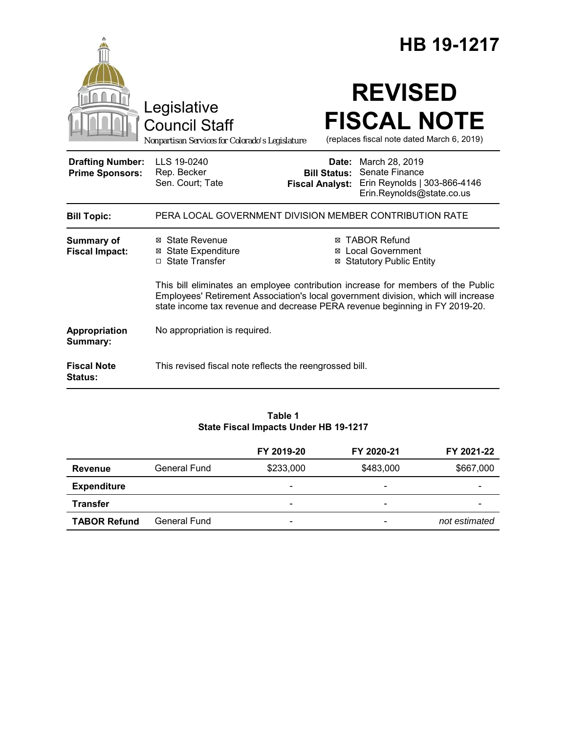|                                                   |                                                                                                                                                                                                                                                       | HB 19-1217                                                                                                                                                  |  |
|---------------------------------------------------|-------------------------------------------------------------------------------------------------------------------------------------------------------------------------------------------------------------------------------------------------------|-------------------------------------------------------------------------------------------------------------------------------------------------------------|--|
|                                                   | Legislative<br><b>Council Staff</b><br>Nonpartisan Services for Colorado's Legislature                                                                                                                                                                | <b>REVISED</b><br><b>FISCAL NOTE</b><br>(replaces fiscal note dated March 6, 2019)                                                                          |  |
| <b>Drafting Number:</b><br><b>Prime Sponsors:</b> | LLS 19-0240<br>Rep. Becker<br>Sen. Court; Tate                                                                                                                                                                                                        | <b>Date:</b> March 28, 2019<br>Senate Finance<br><b>Bill Status:</b><br>Erin Reynolds   303-866-4146<br><b>Fiscal Analyst:</b><br>Erin.Reynolds@state.co.us |  |
| <b>Bill Topic:</b>                                |                                                                                                                                                                                                                                                       | PERA LOCAL GOVERNMENT DIVISION MEMBER CONTRIBUTION RATE                                                                                                     |  |
| <b>Summary of</b><br><b>Fiscal Impact:</b>        | ⊠ State Revenue<br><b>State Expenditure</b><br>⊠<br>□ State Transfer                                                                                                                                                                                  | ⊠ TABOR Refund<br><b>Local Government</b><br>⊠<br><b>Statutory Public Entity</b>                                                                            |  |
|                                                   | This bill eliminates an employee contribution increase for members of the Public<br>Employees' Retirement Association's local government division, which will increase<br>state income tax revenue and decrease PERA revenue beginning in FY 2019-20. |                                                                                                                                                             |  |
| Appropriation<br>Summary:                         | No appropriation is required.                                                                                                                                                                                                                         |                                                                                                                                                             |  |
| <b>Fiscal Note</b><br><b>Status:</b>              | This revised fiscal note reflects the reengrossed bill.                                                                                                                                                                                               |                                                                                                                                                             |  |

#### **Table 1 State Fiscal Impacts Under HB 19-1217**

|                     |              | FY 2019-20               | FY 2020-21               | FY 2021-22    |
|---------------------|--------------|--------------------------|--------------------------|---------------|
| <b>Revenue</b>      | General Fund | \$233,000                | \$483,000                | \$667,000     |
| <b>Expenditure</b>  |              | $\overline{\phantom{0}}$ | $\overline{\phantom{0}}$ |               |
| <b>Transfer</b>     |              | -                        | -                        |               |
| <b>TABOR Refund</b> | General Fund | $\overline{\phantom{a}}$ |                          | not estimated |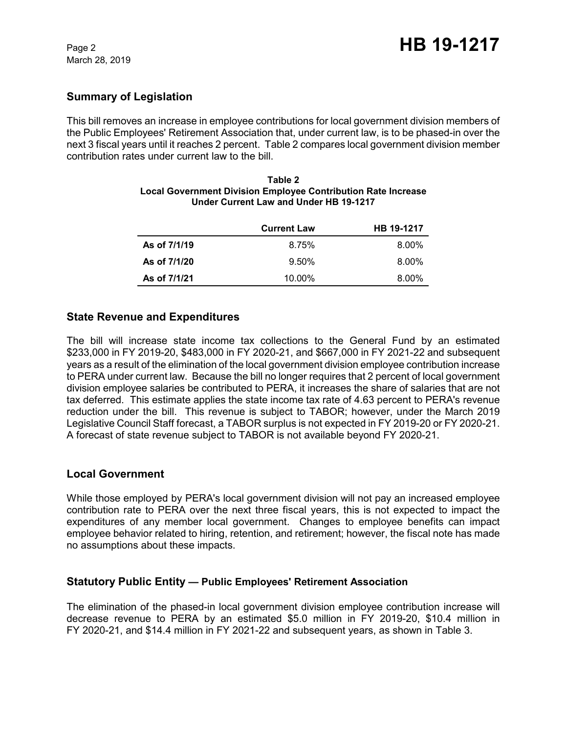## **Summary of Legislation**

This bill removes an increase in employee contributions for local government division members of the Public Employees' Retirement Association that, under current law, is to be phased-in over the next 3 fiscal years until it reaches 2 percent. Table 2 compares local government division member contribution rates under current law to the bill.

|              | <b>Current Law</b> | HB 19-1217 |
|--------------|--------------------|------------|
| As of 7/1/19 | 8.75%              | $8.00\%$   |
| As of 7/1/20 | $9.50\%$           | 8.00%      |
| As of 7/1/21 | 10.00%             | 8.00%      |

#### **Table 2 Local Government Division Employee Contribution Rate Increase Under Current Law and Under HB 19-1217**

### **State Revenue and Expenditures**

The bill will increase state income tax collections to the General Fund by an estimated \$233,000 in FY 2019-20, \$483,000 in FY 2020-21, and \$667,000 in FY 2021-22 and subsequent years as a result of the elimination of the local government division employee contribution increase to PERA under current law. Because the bill no longer requires that 2 percent of local government division employee salaries be contributed to PERA, it increases the share of salaries that are not tax deferred. This estimate applies the state income tax rate of 4.63 percent to PERA's revenue reduction under the bill. This revenue is subject to TABOR; however, under the March 2019 Legislative Council Staff forecast, a TABOR surplus is not expected in FY 2019-20 or FY 2020-21. A forecast of state revenue subject to TABOR is not available beyond FY 2020-21.

### **Local Government**

While those employed by PERA's local government division will not pay an increased employee contribution rate to PERA over the next three fiscal years, this is not expected to impact the expenditures of any member local government. Changes to employee benefits can impact employee behavior related to hiring, retention, and retirement; however, the fiscal note has made no assumptions about these impacts.

### **Statutory Public Entity — Public Employees' Retirement Association**

The elimination of the phased-in local government division employee contribution increase will decrease revenue to PERA by an estimated \$5.0 million in FY 2019-20, \$10.4 million in FY 2020-21, and \$14.4 million in FY 2021-22 and subsequent years, as shown in Table 3.